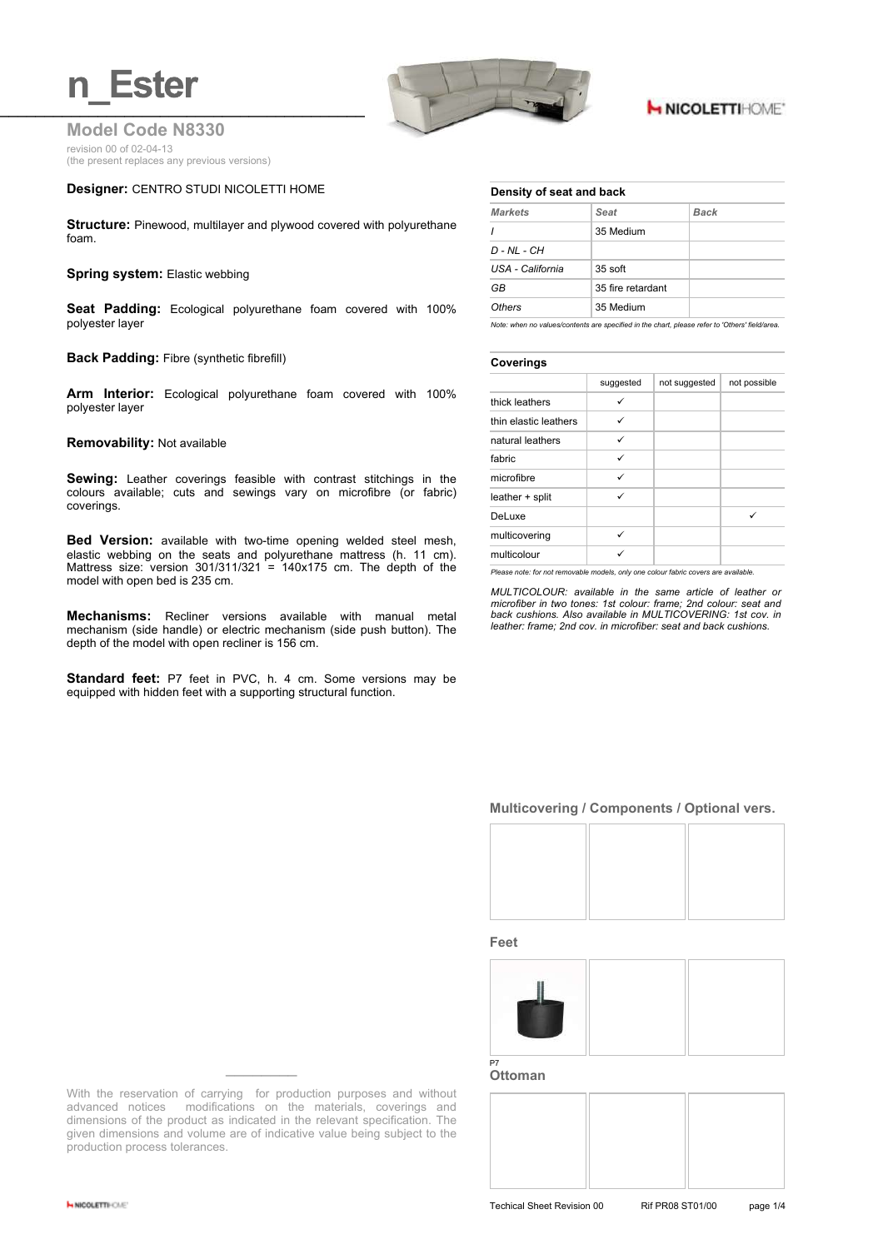**Ester** 



### **H NICOLETTIHOME\***

**Model Code N8330** revision 00 of 02-04-13 (the present replaces any previous versions)

#### **Designer:** CENTRO STUDI NICOLETTI HOME

**Structure:** Pinewood, multilayer and plywood covered with polyurethane foam.

#### **Spring system: Elastic webbing**

**Seat Padding:** Ecological polyurethane foam covered with 100% polyester layer

#### **Back Padding: Fibre (synthetic fibrefill)**

**Arm Interior:** Ecological polyurethane foam covered with 100% polyester layer

#### **Removability:** Not available

**Sewing:** Leather coverings feasible with contrast stitchings in the colours available; cuts and sewings vary on microfibre (or fabric) coverings.

**Bed Version:** available with two-time opening welded steel mesh, elastic webbing on the seats and polyurethane mattress (h. 11 cm). Mattress size: version 301/311/321 = 140x175 cm. The depth of the model with open bed is 235 cm.

**Mechanisms:** Recliner versions available with manual metal mechanism (side handle) or electric mechanism (side push button). The depth of the model with open recliner is 156 cm.

**Standard feet:** P7 feet in PVC, h. 4 cm. Some versions may be equipped with hidden feet with a supporting structural function.

| Density of seat and back |                   |             |
|--------------------------|-------------------|-------------|
| <b>Markets</b>           | Seat              | <b>Back</b> |
| $\prime$                 | 35 Medium         |             |
| D - NL - CH              |                   |             |
| USA - California         | 35 soft           |             |
| GB                       | 35 fire retardant |             |
| Others                   | 35 Medium         |             |

*Note: when no values/contents are specified in the chart, please refer to 'Others' field/area.*

#### **Coverings**

|                       | suggested | not suggested | not possible |
|-----------------------|-----------|---------------|--------------|
| thick leathers        | ✓         |               |              |
| thin elastic leathers | ✓         |               |              |
| natural leathers      | ✓         |               |              |
| fabric                | ✓         |               |              |
| microfibre            | ✓         |               |              |
| leather + split       | ✓         |               |              |
| DeLuxe                |           |               | ✓            |
| multicovering         | ✓         |               |              |
| multicolour           | ✓         |               |              |

*Please note: for not removable models, only one colour fabric covers are available.*

MULTICOLOUR: available in the same article of leather or<br>microfiber in two tones: 1st colour: frame; 2nd colour: seat and *back cushions. Also available in MULTICOVERING: 1st cov. in leather: frame; 2nd cov. in microfiber: seat and back cushions.*

#### **Multicovering / Components / Optional vers.**



**Feet**



**Ottoman**

With the reservation of carrying for production purposes and without advanced notices modifications on the materials, coverings and dimensions of the product as indicated in the relevant specification. The given dimensions and volume are of indicative value being subject to the production process tolerances.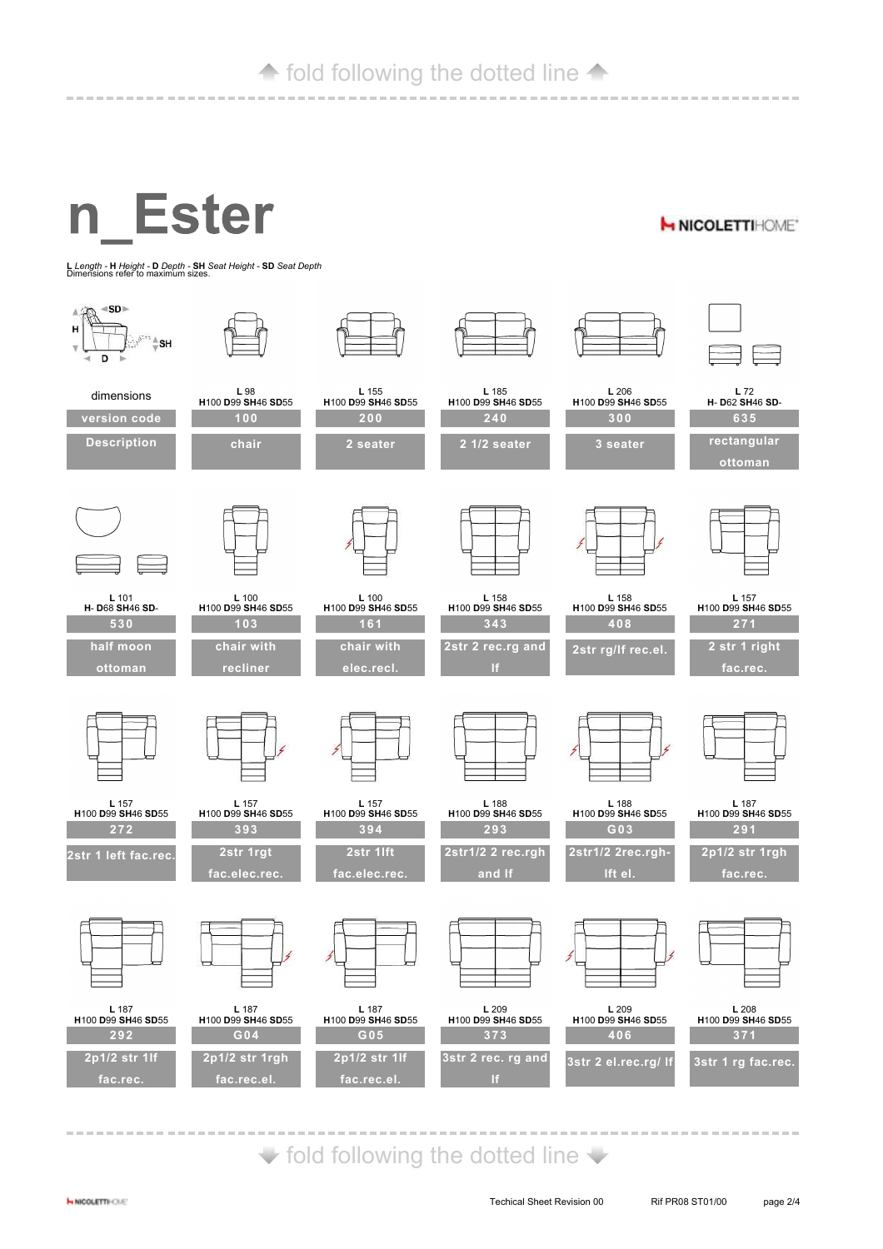### **fold following the dotted line 4**

# n Ester

**H NICOLETTIHOME\*** 

**L** *Length -* **H** *Height -* **D** *Depth -* **SH** *Seat Height -* **SD** *Seat Depth* Dimensions refer to maximum sizes.



 $\blacktriangleright$  fold following the dotted line  $\blacktriangleright$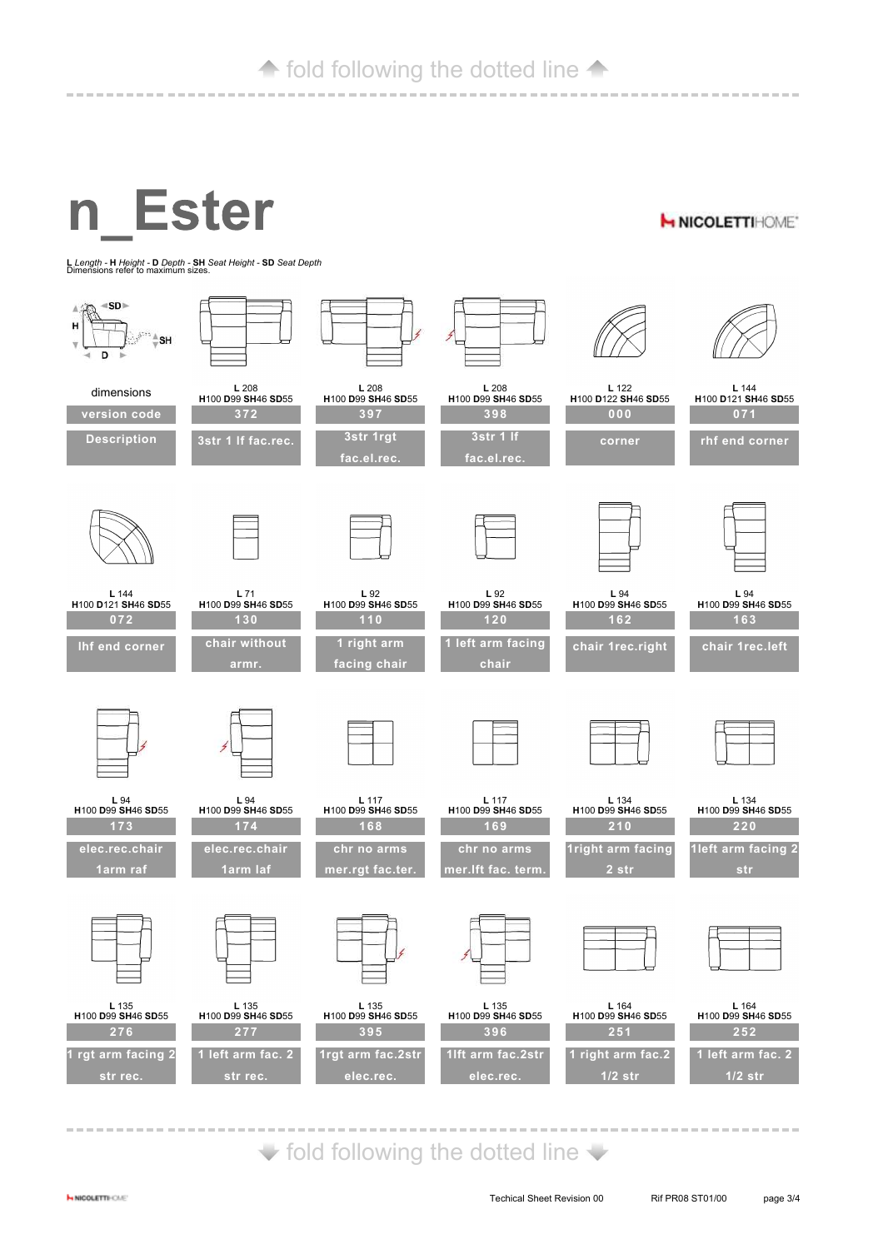**fold following the dotted line 4** 

# n Ester

**H NICOLETTIHOME\*** 

**L** *Length -* **H** *Height -* **D** *Depth -* **SH** *Seat Height -* **SD** *Seat Depth* Dimensions refer to maximum sizes.



 $\blacktriangleright$  fold following the dotted line  $\blacktriangleright$